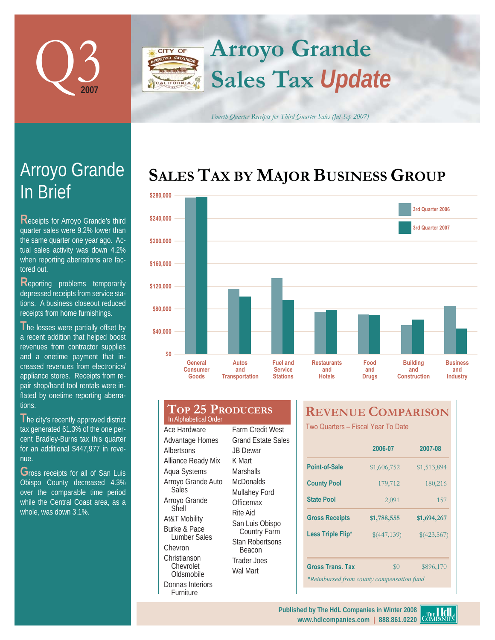



*Fourth Quarter Receipts for Third Quarter Sales (Jul-Sep 2007)*

# **SALES TAX BY MAJOR BUSINESS GROUP**



# In Brief Arroyo Grande

**R**eceipts for Arroyo Grande's third quarter sales were 9.2% lower than the same quarter one year ago. Actual sales activity was down 4.2% when reporting aberrations are factored out.

**R**eporting problems temporarily depressed receipts from service stations. A business closeout reduced receipts from home furnishings.

The losses were partially offset by a recent addition that helped boost revenues from contractor supplies and a onetime payment that increased revenues from electronics/ appliance stores. Receipts from repair shop/hand tool rentals were inflated by onetime reporting aberrations.

**T**he city's recently approved district tax generated 61.3% of the one percent Bradley-Burns tax this quarter for an additional \$447,977 in revenue.

**G**ross receipts for all of San Luis Obispo County decreased 4.3% over the comparable time period while the Central Coast area, as a whole, was down 3.1%.

| In Alphabetical Order | TOP 25 PRODUCERS     |
|-----------------------|----------------------|
| Ace Hardware          | <b>Farm Credit V</b> |
|                       |                      |

Advantage Homes **Albertsons** Alliance Ready Mix Aqua Systems Arroyo Grande Auto Sales Arroyo Grande Shell At&T Mobility Burke & Pace Lumber Sales Chevron Christianson Chevrolet **Oldsmobile** Donnas Interiors Furniture

Farm Credit West Grand Estate Sales JB Dewar K Mart **Marshalls McDonalds** Mullahey Ford Officemax Rite Aid San Luis Obispo Country Farm Stan Robertsons Beacon Trader Joes Wal Mart

# **REVENUE COMPARISON**

Two Quarters - Fiscal Year To Date

|                                           | 2006-07     | 2007-08     |  |  |  |  |
|-------------------------------------------|-------------|-------------|--|--|--|--|
| Point-of-Sale                             | \$1,606,752 | \$1,513,894 |  |  |  |  |
| <b>County Pool</b>                        | 179,712     | 180,216     |  |  |  |  |
| <b>State Pool</b>                         | 2,091       | 157         |  |  |  |  |
| <b>Gross Receipts</b>                     | \$1,788,555 | \$1,694,267 |  |  |  |  |
| Less Triple Flip*                         | \$(447,139) | \$(423,567) |  |  |  |  |
|                                           |             |             |  |  |  |  |
| <b>Gross Trans. Tax</b>                   | $\$0$       | \$896,170   |  |  |  |  |
| *Reimbursed from county compensation fund |             |             |  |  |  |  |